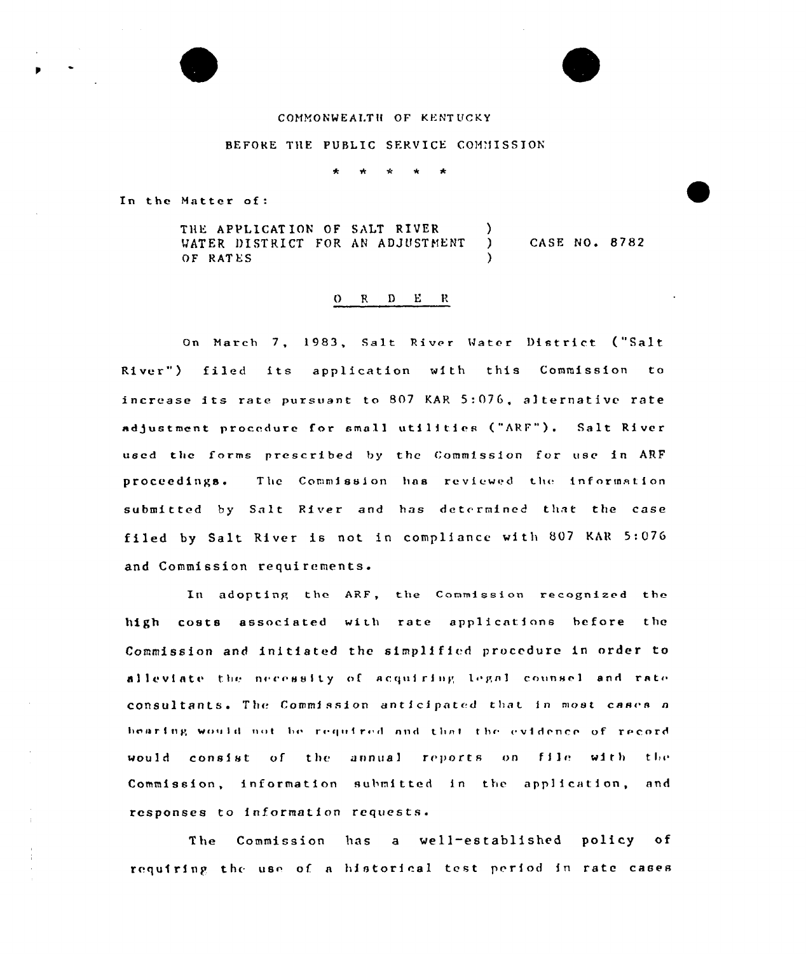## COMMONWEALTH OF KENTUCKY

## BEFORE THE PUBLIC SERVICE COMMISSION

 $\mathbf{r}$ 

In the Matter of:

THE APPLICATION OF SALT RIVER CASE NO. 8782 WATER DISTRICT FOR AN ADJUSTMENT  $\lambda$ OF RATES

## $O$  R D E R

On March 7, 1983, Salt River Water District ("Salt River") filed its application with this Commission to increase its rate pursuant to 807 KAR 5:076, alternative rate adjustment procedure for small utilities ("ARF"). Salt River used the forms prescribed by the Commission for use in ARF proceedings. The Commission has reviewed the information submitted by Salt River and has determined that the case filed by Salt River is not in compliance with 807 KAR 5:076 and Commission requirements.

In adopting the ARF, the Commission recognized the high costs associated with rate applications before the Commission and initiated the simplified procedure in order to alleviate the necessity of acquiring legal counsel and rate consultants. The Commission anticipated that in most cases a bearing would not be required and that the evidence of record would consist of the annual reports on file with the Commission, information submitted in the application, and responses to information requests.

The Commission has a well-established policy of requiring the use of a historical test period in rate cases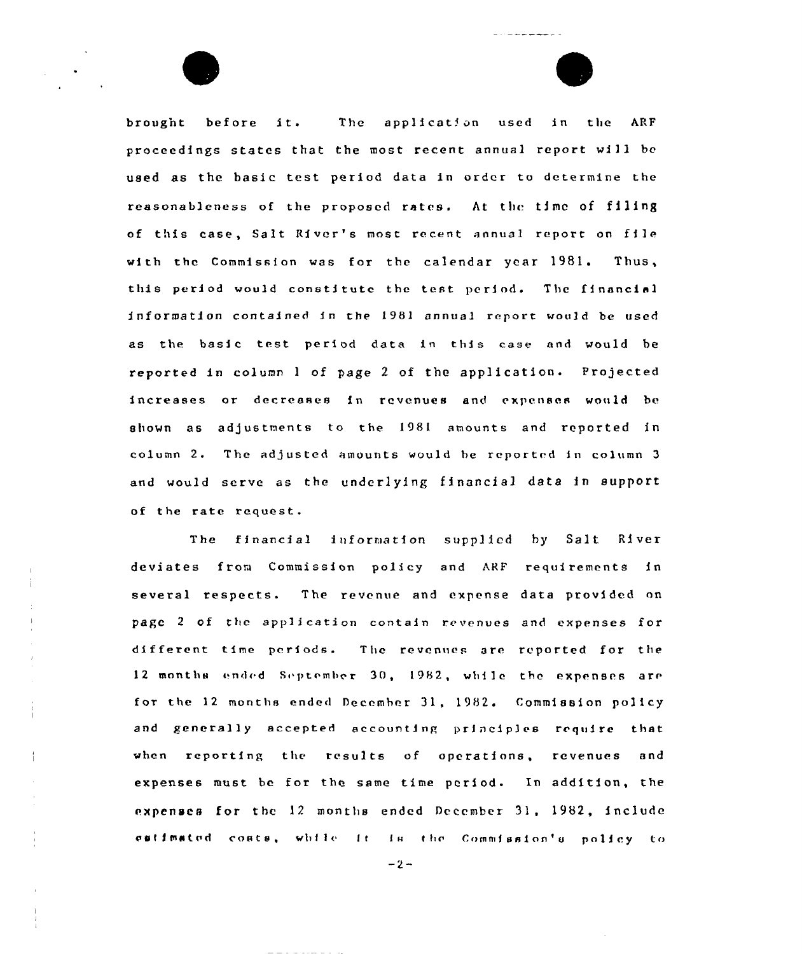brought before it. The application used in the ARF proceedings states that the most recent annual report will be used as the basic test period data in order to determine the reasonableness of the proposed rates. At the time of filing of this case, Salt River's most recent annual report on file with the Commission was for the calendar year 1981. Thus, this period would constitute the test period. The financial information contained in the 1981 annual report would be used as the basic test period data in this case and would be reported in column 1 of page 2 of the application. Projected increases or decreases in revenues and expenses would bc shown as adjustments to the 1981 amounts and reported in column 2. The adjusted amounts would be reported in column 3 and would serve as the underlying financial data in support of the rate request.

 $= + - - - - - - -$ 

The financial information supp]icd hy Salt River deviates from Commission policy and ARF requirements in several respects. The revenue and expense data provided on page 2 of the application contain revenues and expenses for different time periods. The revenues are reported for the 12 months ended September 30, 1982, while the expenses are for the 12 months ended December 31, 1982. Commission policy and generally accepted accounting principles require that when reporting the results of operations, revenues and expenses must bc for the same time period. In addition, the expenses for the 12 months ended December 31, 1982, include estimated coats, while it is the Commission's policy to

 $-2-$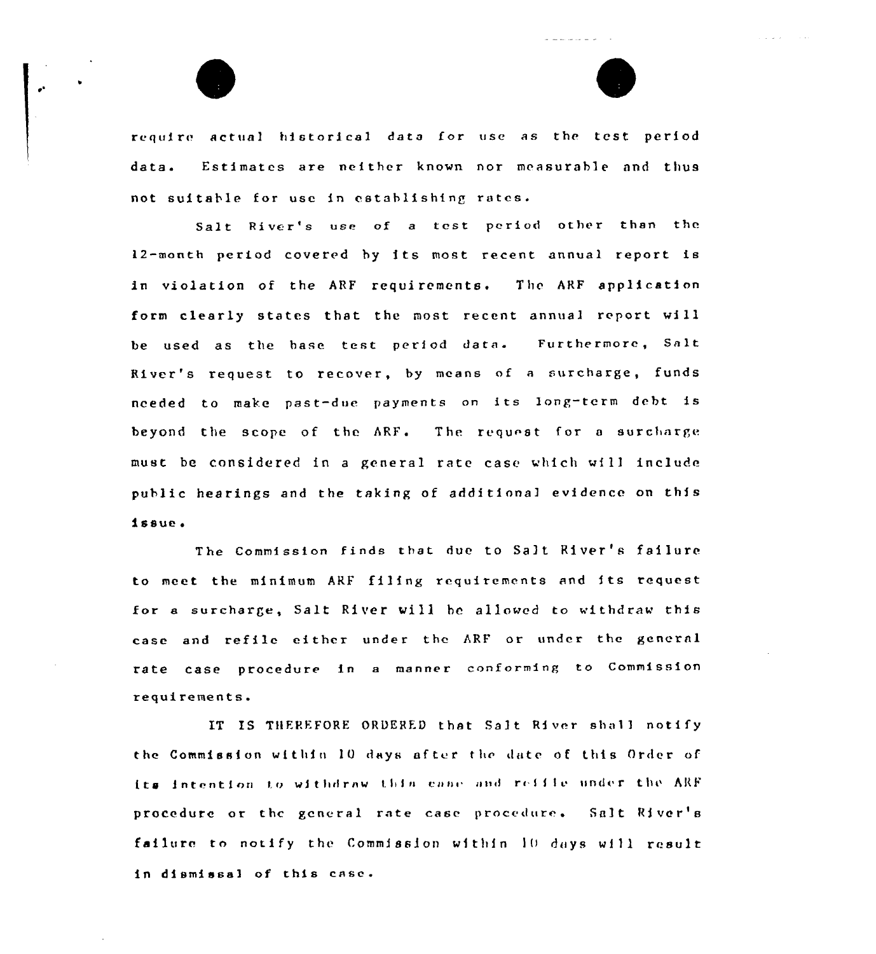require actual historical data for use as the test period data. Estimates are neither known nor measurable and thus not suitable for usc in establishing rates.

المراجعة المراجعة المعاطفة المد

 $\Delta$  ,  $\Delta$  ,  $\Delta$  .

Salt. River's use of <sup>a</sup> tost period other than the 12-month period covered by its most recent annual report is in violation of the ARF requirements. The ARF application form clearly states that the most recent annual report will be used as the hase test period dace. Furthermore, Salt River's request to recover, by means of a surcharge, funds needed to make past-due payments on its long-term debt is beyond the scope of the ARF. The request for a surcharge must be considered in <sup>a</sup> general rate case which wil1 include public hearings end the taking of additional evidence. on this i ssue <sup>~</sup>

The Commission finds that due to Salt River's failure to meet the minimum ARF filing requirements and its request for a surcharge, Salt River will hc allowed to withdraw this case and refile either under the ARF or under the general rate case procedure in <sup>a</sup> manner conforming to Commission requirements.

IT IS THEREFORE ORDERED that Salt River shall notify the Commission within 10 days after the date of this Order of its intention to withdraw this case and reifie under the ARF procedure or the general rate case procedure. Salt River's failure to notify the Commission within 10 days will result in dismissal of this ense.